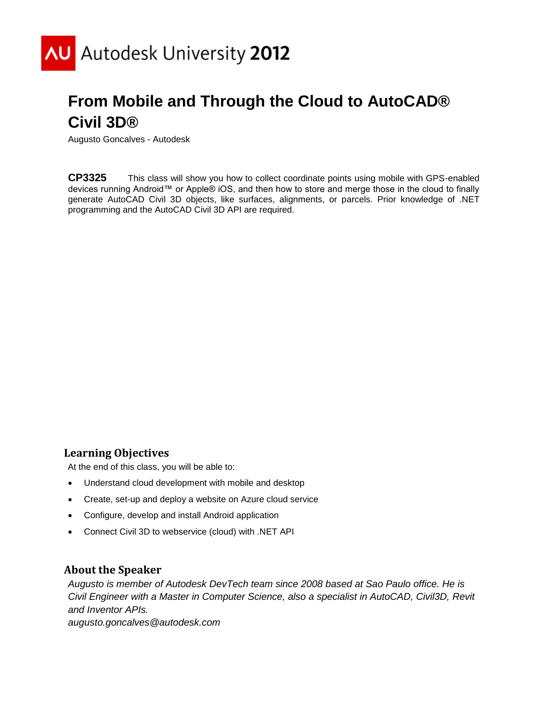

# **From Mobile and Through the Cloud to AutoCAD® Civil 3D®**

Augusto Goncalves - Autodesk

**CP3325** This class will show you how to collect coordinate points using mobile with GPS-enabled devices running Android™ or Apple® iOS, and then how to store and merge those in the cloud to finally generate AutoCAD Civil 3D objects, like surfaces, alignments, or parcels. Prior knowledge of .NET programming and the AutoCAD Civil 3D API are required.

#### **Learning Objectives**

At the end of this class, you will be able to:

- Understand cloud development with mobile and desktop
- Create, set-up and deploy a website on Azure cloud service
- Configure, develop and install Android application
- Connect Civil 3D to webservice (cloud) with .NET API

#### **About the Speaker**

*Augusto is member of Autodesk DevTech team since 2008 based at Sao Paulo office. He is Civil Engineer with a Master in Computer Science, also a specialist in AutoCAD, Civil3D, Revit and Inventor APIs. augusto.goncalves@autodesk.com*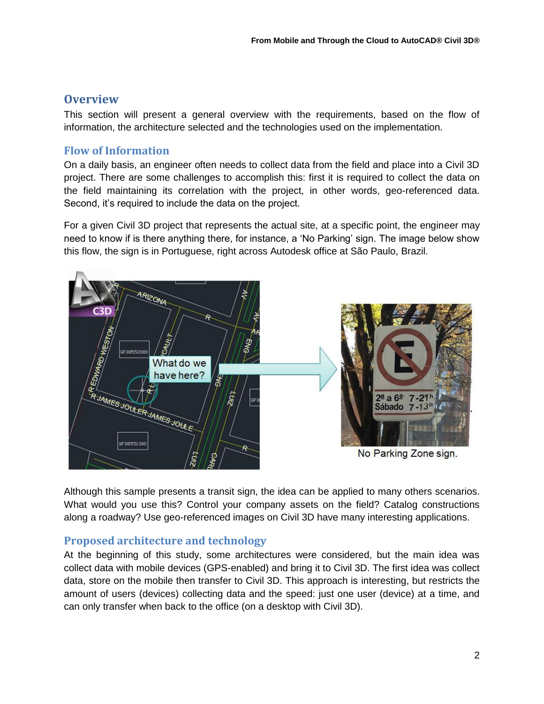# **Overview**

This section will present a general overview with the requirements, based on the flow of information, the architecture selected and the technologies used on the implementation.

### **Flow of Information**

On a daily basis, an engineer often needs to collect data from the field and place into a Civil 3D project. There are some challenges to accomplish this: first it is required to collect the data on the field maintaining its correlation with the project, in other words, geo-referenced data. Second, it's required to include the data on the project.

For a given Civil 3D project that represents the actual site, at a specific point, the engineer may need to know if is there anything there, for instance, a "No Parking" sign. The image below show this flow, the sign is in Portuguese, right across Autodesk office at São Paulo, Brazil.



Although this sample presents a transit sign, the idea can be applied to many others scenarios. What would you use this? Control your company assets on the field? Catalog constructions along a roadway? Use geo-referenced images on Civil 3D have many interesting applications.

# **Proposed architecture and technology**

At the beginning of this study, some architectures were considered, but the main idea was collect data with mobile devices (GPS-enabled) and bring it to Civil 3D. The first idea was collect data, store on the mobile then transfer to Civil 3D. This approach is interesting, but restricts the amount of users (devices) collecting data and the speed: just one user (device) at a time, and can only transfer when back to the office (on a desktop with Civil 3D).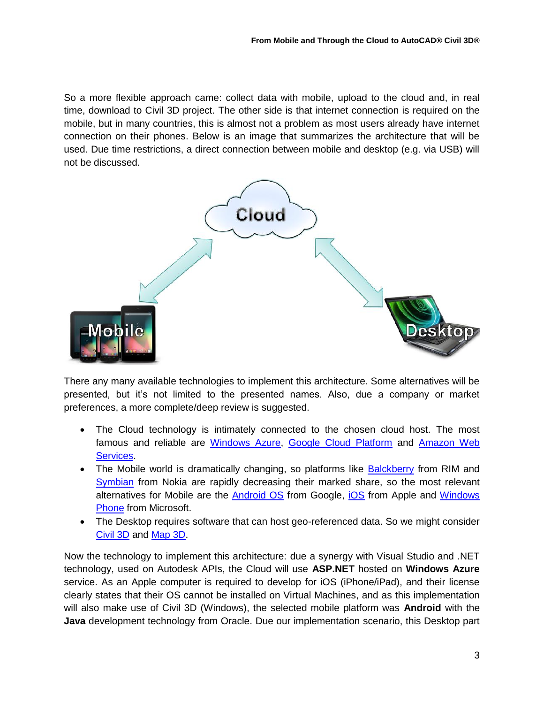So a more flexible approach came: collect data with mobile, upload to the cloud and, in real time, download to Civil 3D project. The other side is that internet connection is required on the mobile, but in many countries, this is almost not a problem as most users already have internet connection on their phones. Below is an image that summarizes the architecture that will be used. Due time restrictions, a direct connection between mobile and desktop (e.g. via USB) will not be discussed.



There any many available technologies to implement this architecture. Some alternatives will be presented, but it"s not limited to the presented names. Also, due a company or market preferences, a more complete/deep review is suggested.

- The Cloud technology is intimately connected to the chosen cloud host. The most famous and reliable are [Windows Azure,](https://www.windowsazure.com/) [Google Cloud Platform](https://cloud.google.com/) and [Amazon Web](http://aws.amazon.com/)  [Services.](http://aws.amazon.com/)
- The Mobile world is dramatically changing, so platforms like [Balckberry](http://www.blackberry.com/) from RIM and [Symbian](http://symbian.nokia.com/) from Nokia are rapidly decreasing their marked share, so the most relevant alternatives for Mobile are the [Android OS](http://www.android.com/) from Google, [iOS](http://www.apple.com/ios/) from Apple and [Windows](http://www.windowsphone.com/)  [Phone](http://www.windowsphone.com/) from Microsoft.
- The Desktop requires software that can host geo-referenced data. So we might consider [Civil 3D](http://www.autodesk.com/civil3d/) and [Map 3D.](http://www.autodesk.com/map3d)

Now the technology to implement this architecture: due a synergy with Visual Studio and .NET technology, used on Autodesk APIs, the Cloud will use **ASP.NET** hosted on **Windows Azure** service. As an Apple computer is required to develop for iOS (iPhone/iPad), and their license clearly states that their OS cannot be installed on Virtual Machines, and as this implementation will also make use of Civil 3D (Windows), the selected mobile platform was **Android** with the **Java** development technology from Oracle. Due our implementation scenario, this Desktop part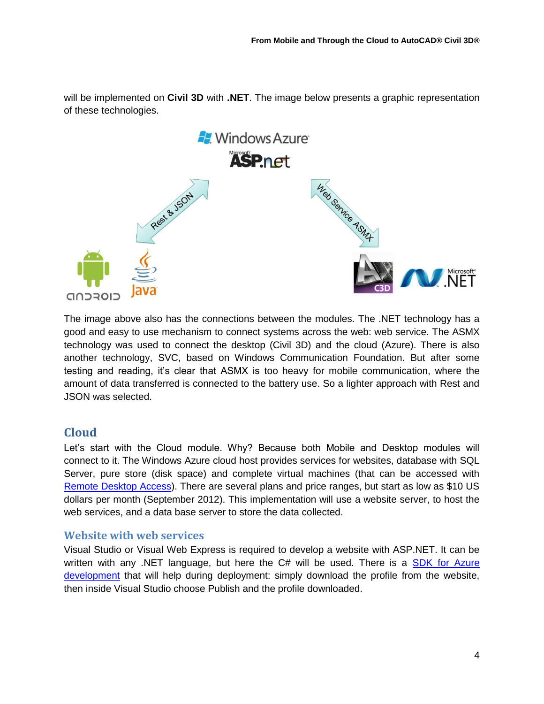will be implemented on **Civil 3D** with **.NET**. The image below presents a graphic representation of these technologies.



The image above also has the connections between the modules. The .NET technology has a good and easy to use mechanism to connect systems across the web: web service. The ASMX technology was used to connect the desktop (Civil 3D) and the cloud (Azure). There is also another technology, SVC, based on Windows Communication Foundation. But after some testing and reading, it's clear that ASMX is too heavy for mobile communication, where the amount of data transferred is connected to the battery use. So a lighter approach with Rest and JSON was selected.

# **Cloud**

Let"s start with the Cloud module. Why? Because both Mobile and Desktop modules will connect to it. The Windows Azure cloud host provides services for websites, database with SQL Server, pure store (disk space) and complete virtual machines (that can be accessed with [Remote Desktop Access\)](http://windows.microsoft.com/is-IS/windows-vista/Connect-to-another-computer-using-Remote-Desktop-Connection). There are several plans and price ranges, but start as low as \$10 US dollars per month (September 2012). This implementation will use a website server, to host the web services, and a data base server to store the data collected.

# **Website with web services**

Visual Studio or Visual Web Express is required to develop a website with ASP.NET. It can be written with any .NET language, but here the C# will be used. There is a SDK for Azure [development](https://www.windowsazure.com/en-us/develop/downloads/) that will help during deployment: simply download the profile from the website, then inside Visual Studio choose Publish and the profile downloaded.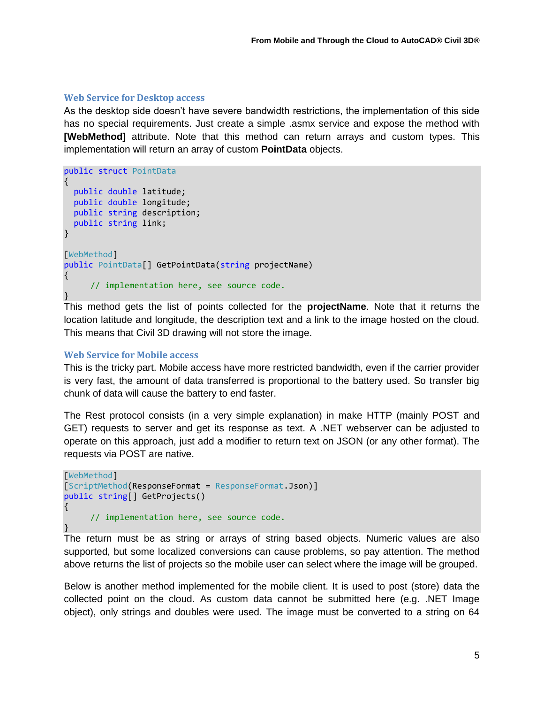#### **Web Service for Desktop access**

As the desktop side doesn"t have severe bandwidth restrictions, the implementation of this side has no special requirements. Just create a simple .asmx service and expose the method with **[WebMethod]** attribute. Note that this method can return arrays and custom types. This implementation will return an array of custom **PointData** objects.

```
public struct PointData
{
   public double latitude;
   public double longitude;
   public string description;
   public string link;
}
[WebMethod]
public PointData[] GetPointData(string projectName)
{
      // implementation here, see source code.
}
```
This method gets the list of points collected for the **projectName**. Note that it returns the location latitude and longitude, the description text and a link to the image hosted on the cloud. This means that Civil 3D drawing will not store the image.

#### **Web Service for Mobile access**

This is the tricky part. Mobile access have more restricted bandwidth, even if the carrier provider is very fast, the amount of data transferred is proportional to the battery used. So transfer big chunk of data will cause the battery to end faster.

The Rest protocol consists (in a very simple explanation) in make HTTP (mainly POST and GET) requests to server and get its response as text. A .NET webserver can be adjusted to operate on this approach, just add a modifier to return text on JSON (or any other format). The requests via POST are native.

```
[WebMethod]
[ScriptMethod(ResponseFormat = ResponseFormat.Json)]
public string[] GetProjects()
{
      // implementation here, see source code.
}
```
The return must be as string or arrays of string based objects. Numeric values are also supported, but some localized conversions can cause problems, so pay attention. The method above returns the list of projects so the mobile user can select where the image will be grouped.

Below is another method implemented for the mobile client. It is used to post (store) data the collected point on the cloud. As custom data cannot be submitted here (e.g. .NET Image object), only strings and doubles were used. The image must be converted to a string on 64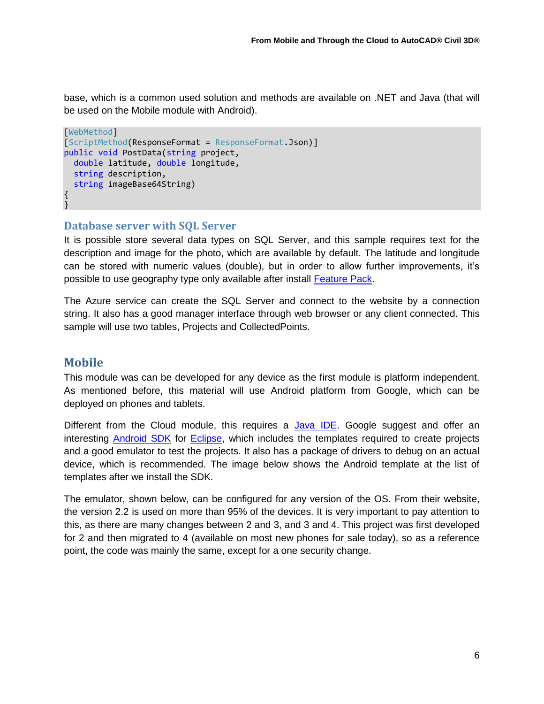base, which is a common used solution and methods are available on .NET and Java (that will be used on the Mobile module with Android).

```
[WebMethod]
[ScriptMethod(ResponseFormat = ResponseFormat.Json)]
public void PostData(string project,
   double latitude, double longitude,
   string description,
   string imageBase64String)
{
}
```
#### **Database server with SQL Server**

It is possible store several data types on SQL Server, and this sample requires text for the description and image for the photo, which are available by default. The latitude and longitude can be stored with numeric values (double), but in order to allow further improvements, it"s possible to use geography type only available after install [Feature Pack.](http://www.microsoft.com/en-us/download/details.aspx?id=29065)

The Azure service can create the SQL Server and connect to the website by a connection string. It also has a good manager interface through web browser or any client connected. This sample will use two tables, Projects and CollectedPoints.

### **Mobile**

This module was can be developed for any device as the first module is platform independent. As mentioned before, this material will use Android platform from Google, which can be deployed on phones and tablets.

Different from the Cloud module, this requires a [Java IDE.](http://www.oracle.com/technetwork/java/javase/downloads/index.html) Google suggest and offer an interesting [Android SDK](http://developer.android.com/sdk/index.html) for [Eclipse,](http://www.eclipse.org/downloads/) which includes the templates required to create projects and a good emulator to test the projects. It also has a package of drivers to debug on an actual device, which is recommended. The image below shows the Android template at the list of templates after we install the SDK.

The emulator, shown below, can be configured for any version of the OS. From their website, the version 2.2 is used on more than 95% of the devices. It is very important to pay attention to this, as there are many changes between 2 and 3, and 3 and 4. This project was first developed for 2 and then migrated to 4 (available on most new phones for sale today), so as a reference point, the code was mainly the same, except for a one security change.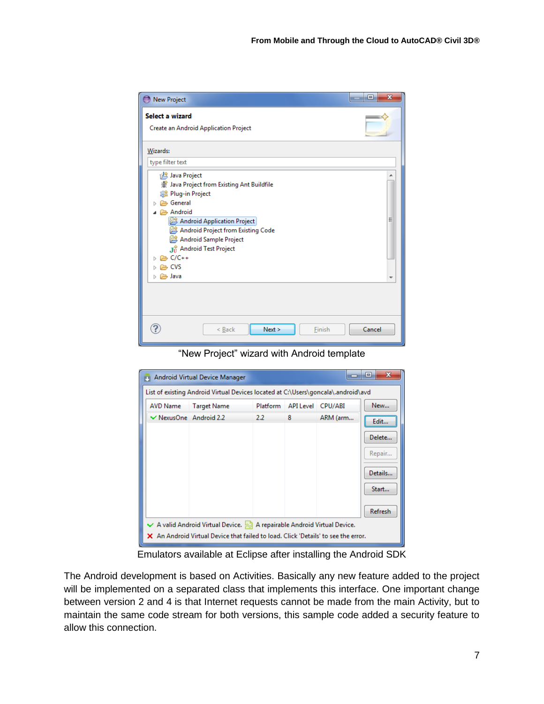| <b>New Project</b>                                                                                                                                                                                                                                                                                     | $\overline{\mathbf{x}}$<br>▣ |
|--------------------------------------------------------------------------------------------------------------------------------------------------------------------------------------------------------------------------------------------------------------------------------------------------------|------------------------------|
| Select a wizard<br><b>Create an Android Application Project</b>                                                                                                                                                                                                                                        |                              |
| Wizards:                                                                                                                                                                                                                                                                                               |                              |
| type filter text                                                                                                                                                                                                                                                                                       |                              |
| Java Project<br>※ Java Project from Existing Ant Buildfile<br><b>A</b> Plug-in Project<br><b>B</b> General<br>Android<br>Android Application Project<br>Android Project from Existing Code<br>Android Sample Project<br>Jy Android Test Project<br><b>E</b> C/C++<br><b>CVS</b><br>⊳ <sup>2</sup> Java | Ξ                            |
| Next ><br>Finish<br>< Back                                                                                                                                                                                                                                                                             | Cancel                       |

"New Project" wizard with Android template

|                                                                                    | Android Virtual Device Manager |          |                   |          | $\mathbf x$<br>▣ |  |  |  |
|------------------------------------------------------------------------------------|--------------------------------|----------|-------------------|----------|------------------|--|--|--|
| List of existing Android Virtual Devices located at C:\Users\goncala\.android\avd  |                                |          |                   |          |                  |  |  |  |
| AVD Name                                                                           | <b>Target Name</b>             | Platform | API Level CPU/ABI |          | New              |  |  |  |
| $\vee$ NexusOne Android 2.2                                                        |                                | 2.2      | 8                 | ARM (arm | Edit             |  |  |  |
|                                                                                    |                                |          |                   |          | Delete           |  |  |  |
|                                                                                    |                                |          |                   |          | Repair           |  |  |  |
|                                                                                    |                                |          |                   |          | Details          |  |  |  |
|                                                                                    |                                |          |                   |          | Start            |  |  |  |
|                                                                                    |                                |          |                   |          | Refresh          |  |  |  |
| $\vee$ A valid Android Virtual Device. $\gg$ A repairable Android Virtual Device.  |                                |          |                   |          |                  |  |  |  |
| X An Android Virtual Device that failed to load. Click 'Details' to see the error. |                                |          |                   |          |                  |  |  |  |

Emulators available at Eclipse after installing the Android SDK

The Android development is based on Activities. Basically any new feature added to the project will be implemented on a separated class that implements this interface. One important change between version 2 and 4 is that Internet requests cannot be made from the main Activity, but to maintain the same code stream for both versions, this sample code added a security feature to allow this connection.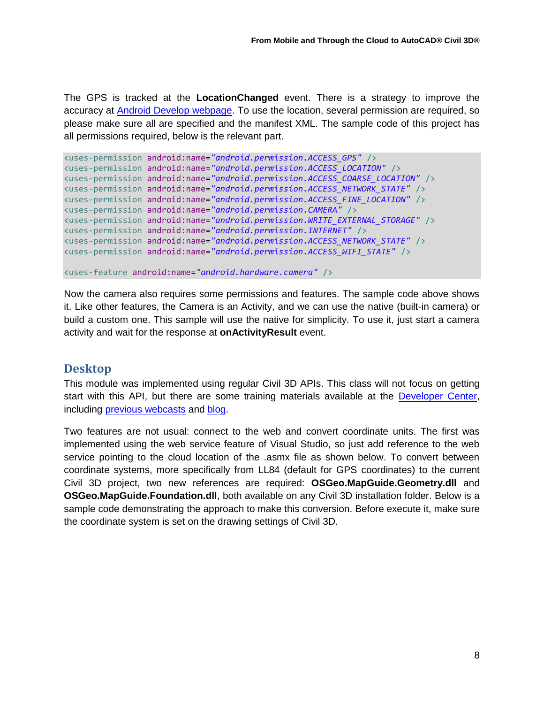The GPS is tracked at the **LocationChanged** event. There is a strategy to improve the accuracy at [Android Develop webpage.](http://developer.android.com/guide/topics/location/strategies.html) To use the location, several permission are required, so please make sure all are specified and the manifest XML. The sample code of this project has all permissions required, below is the relevant part.

```
<uses-permission android:name="android.permission.ACCESS_GPS" />
<uses-permission android:name="android.permission.ACCESS_LOCATION" />
<uses-permission android:name="android.permission.ACCESS_COARSE_LOCATION" />
<uses-permission android:name="android.permission.ACCESS_NETWORK_STATE" />
<uses-permission android:name="android.permission.ACCESS_FINE_LOCATION" />
<uses-permission android:name="android.permission.CAMERA" />
<uses-permission android:name="android.permission.WRITE_EXTERNAL_STORAGE" />
<uses-permission android:name="android.permission.INTERNET" />
<uses-permission android:name="android.permission.ACCESS_NETWORK_STATE" />
<uses-permission android:name="android.permission.ACCESS_WIFI_STATE" />
```

```
<uses-feature android:name="android.hardware.camera" />
```
Now the camera also requires some permissions and features. The sample code above shows it. Like other features, the Camera is an Activity, and we can use the native (built-in camera) or build a custom one. This sample will use the native for simplicity. To use it, just start a camera activity and wait for the response at **onActivityResult** event.

### **Desktop**

This module was implemented using regular Civil 3D APIs. This class will not focus on getting start with this API, but there are some training materials available at the [Developer Center,](http://www.autodesk.com/developcivil) including **previous** webcasts and **blog**.

Two features are not usual: connect to the web and convert coordinate units. The first was implemented using the web service feature of Visual Studio, so just add reference to the web service pointing to the cloud location of the .asmx file as shown below. To convert between coordinate systems, more specifically from LL84 (default for GPS coordinates) to the current Civil 3D project, two new references are required: **OSGeo.MapGuide.Geometry.dll** and **OSGeo.MapGuide.Foundation.dll**, both available on any Civil 3D installation folder. Below is a sample code demonstrating the approach to make this conversion. Before execute it, make sure the coordinate system is set on the drawing settings of Civil 3D.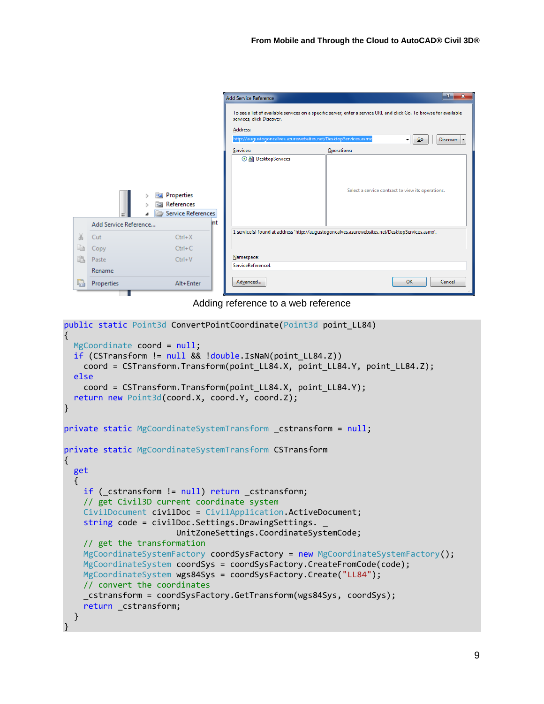|                |                       |                                                                            | <b>Add Service Reference</b>                                                                                                                                                                                                                                             | $\mathbb{R}$<br>$\mathbf{x}$ |  |  |  |
|----------------|-----------------------|----------------------------------------------------------------------------|--------------------------------------------------------------------------------------------------------------------------------------------------------------------------------------------------------------------------------------------------------------------------|------------------------------|--|--|--|
|                |                       |                                                                            | To see a list of available services on a specific server, enter a service URL and click Go. To browse for available<br>services, click Discover.<br>Address:<br>http://augustogoncalves.azurewebsites.net/DesktopServices.asmx<br>$\mathbf{G}$ o<br><b>Discover</b><br>▾ |                              |  |  |  |
|                |                       |                                                                            | Services:<br>Operations:                                                                                                                                                                                                                                                 |                              |  |  |  |
|                | Add Service Reference | Properties<br>$= 4$<br>ь<br><b>References</b><br>Service References<br>Int | <b>O all DesktopServices</b><br>Select a service contract to view its operations.                                                                                                                                                                                        |                              |  |  |  |
| $\frac{1}{20}$ | Cut                   | $Ctrl+X$                                                                   | 1 service(s) found at address 'http://augustogoncalves.azurewebsites.net/DesktopServices.asmx'.                                                                                                                                                                          |                              |  |  |  |
| L₿             | Copy                  | $Ctrl + C$                                                                 |                                                                                                                                                                                                                                                                          |                              |  |  |  |
|                | Paste                 | $Ctrl + V$                                                                 | Namespace:                                                                                                                                                                                                                                                               |                              |  |  |  |
|                | Rename                |                                                                            | ServiceReference1                                                                                                                                                                                                                                                        |                              |  |  |  |
| e              | Properties            | Alt+Enter                                                                  | Advanced<br>OK                                                                                                                                                                                                                                                           | Cancel                       |  |  |  |

Adding reference to a web reference

```
public static Point3d ConvertPointCoordinate(Point3d point_LL84)
{
  MgCoordinate coord = null;
  if (CSTransform != null && !double.IsNaN(point LL84.Z))
     coord = CSTransform.Transform(point_LL84.X, point_LL84.Y, point_LL84.Z);
   else
     coord = CSTransform.Transform(point_LL84.X, point_LL84.Y);
   return new Point3d(coord.X, coord.Y, coord.Z);
}
private static MgCoordinateSystemTransform _cstransform = null;
private static MgCoordinateSystemTransform CSTransform
{
   get
   {
    if ( cstransform != null) return cstransform;
     // get Civil3D current coordinate system
     CivilDocument civilDoc = CivilApplication.ActiveDocument;
    string code = civilDoc.Settings.DrawingSettings.
                        UnitZoneSettings.CoordinateSystemCode;
     // get the transformation 
     MgCoordinateSystemFactory coordSysFactory = new MgCoordinateSystemFactory();
    MgCoordinateSystem coordSys = coordSysFactory.CreateFromCode(code);
     MgCoordinateSystem wgs84Sys = coordSysFactory.Create("LL84");
     // convert the coordinates
     _cstransform = coordSysFactory.GetTransform(wgs84Sys, coordSys);
     return _cstransform;
   }
}
```